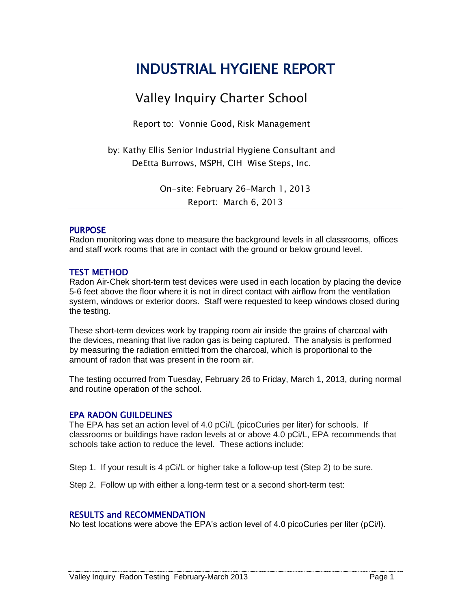# INDUSTRIAL HYGIENE REPORT

## Valley Inquiry Charter School

Report to: Vonnie Good, Risk Management

by: Kathy Ellis Senior Industrial Hygiene Consultant and DeEtta Burrows, MSPH, CIH Wise Steps, Inc.

> On-site: February 26-March 1, 2013 Report: March 6, 2013

#### PURPOSE

Radon monitoring was done to measure the background levels in all classrooms, offices and staff work rooms that are in contact with the ground or below ground level.

#### TEST METHOD

Radon Air-Chek short-term test devices were used in each location by placing the device 5-6 feet above the floor where it is not in direct contact with airflow from the ventilation system, windows or exterior doors. Staff were requested to keep windows closed during the testing.

These short-term devices work by trapping room air inside the grains of charcoal with the devices, meaning that live radon gas is being captured. The analysis is performed by measuring the radiation emitted from the charcoal, which is proportional to the amount of radon that was present in the room air.

The testing occurred from Tuesday, February 26 to Friday, March 1, 2013, during normal and routine operation of the school.

#### EPA RADON GUILDELINES

The EPA has set an action level of 4.0 pCi/L (picoCuries per liter) for schools. If classrooms or buildings have radon levels at or above 4.0 pCi/L, EPA recommends that schools take action to reduce the level. These actions include:

Step 1. If your result is 4 pCi/L or higher take a follow-up test (Step 2) to be sure.

Step 2. Follow up with either a long-term test or a second short-term test:

#### RESULTS and RECOMMENDATION

No test locations were above the EPA's action level of 4.0 picoCuries per liter (pCi/l).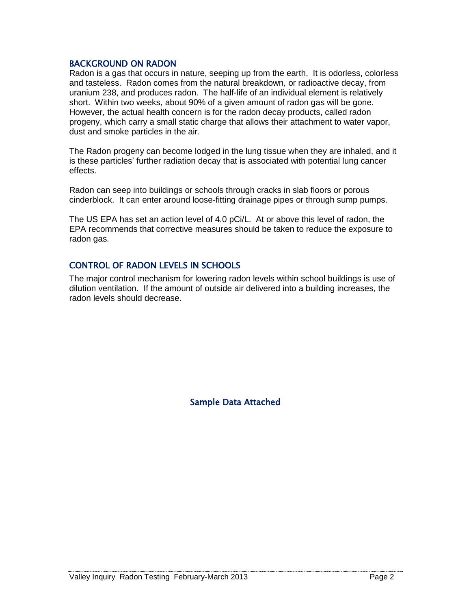#### BACKGROUND ON RADON

Radon is a gas that occurs in nature, seeping up from the earth. It is odorless, colorless and tasteless. Radon comes from the natural breakdown, or radioactive decay, from uranium 238, and produces radon. The half-life of an individual element is relatively short. Within two weeks, about 90% of a given amount of radon gas will be gone. However, the actual health concern is for the radon decay products, called radon progeny, which carry a small static charge that allows their attachment to water vapor, dust and smoke particles in the air.

The Radon progeny can become lodged in the lung tissue when they are inhaled, and it is these particles' further radiation decay that is associated with potential lung cancer effects.

Radon can seep into buildings or schools through cracks in slab floors or porous cinderblock. It can enter around loose-fitting drainage pipes or through sump pumps.

The US EPA has set an action level of 4.0 pCi/L. At or above this level of radon, the EPA recommends that corrective measures should be taken to reduce the exposure to radon gas.

### CONTROL OF RADON LEVELS IN SCHOOLS

The major control mechanism for lowering radon levels within school buildings is use of dilution ventilation. If the amount of outside air delivered into a building increases, the radon levels should decrease.

Sample Data Attached